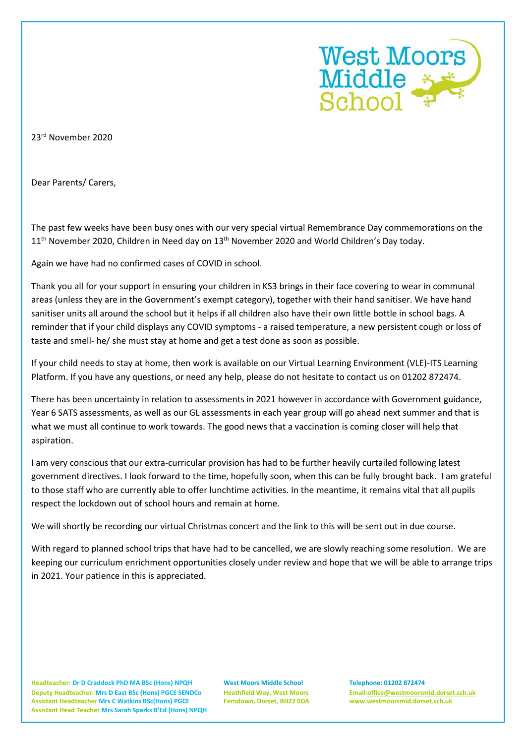

23rd November 2020

Dear Parents/ Carers,

The past few weeks have been busy ones with our very special virtual Remembrance Day commemorations on the 11<sup>th</sup> November 2020, Children in Need day on 13<sup>th</sup> November 2020 and World Children's Day today.

Again we have had no confirmed cases of COVID in school.

Thank you all for your support in ensuring your children in KS3 brings in their face covering to wear in communal areas (unless they are in the Government's exempt category), together with their hand sanitiser. We have hand sanitiser units all around the school but it helps if all children also have their own little bottle in school bags. A reminder that if your child displays any COVID symptoms - a raised temperature, a new persistent cough or loss of taste and smell- he/ she must stay at home and get a test done as soon as possible.

If your child needs to stay at home, then work is available on our Virtual Learning Environment (VLE)-ITS Learning Platform. If you have any questions, or need any help, please do not hesitate to contact us on 01202 872474.

There has been uncertainty in relation to assessments in 2021 however in accordance with Government guidance, Year 6 SATS assessments, as well as our GL assessments in each year group will go ahead next summer and that is what we must all continue to work towards. The good news that a vaccination is coming closer will help that aspiration.

I am very conscious that our extra-curricular provision has had to be further heavily curtailed following latest government directives. I look forward to the time, hopefully soon, when this can be fully brought back. I am grateful to those staff who are currently able to offer lunchtime activities. In the meantime, it remains vital that all pupils respect the lockdown out of school hours and remain at home.

We will shortly be recording our virtual Christmas concert and the link to this will be sent out in due course.

With regard to planned school trips that have had to be cancelled, we are slowly reaching some resolution. We are keeping our curriculum enrichment opportunities closely under review and hope that we will be able to arrange trips in 2021. Your patience in this is appreciated.

**Headteacher: Dr D Craddock PhD MA BSc (Hons) NPQH West Moors Middle School Telephone: 01202 872474 Deputy Headteacher: Mrs D East BSc (Hons) PGCE SENDCo Heathfield Way, West Moors Email[:office@westmoorsmid.dorset.sch.uk](mailto:office@westmoorsmid.dorset.sch.uk) Assistant Headteacher Mrs C Watkins BSc(Hons) PGCE Ferndown, Dorset, BH22 0DA www.westmoorsmid.dorset.sch.uk Assistant Head Teacher Mrs Sarah Sparks B'Ed (Hons) NPQH**